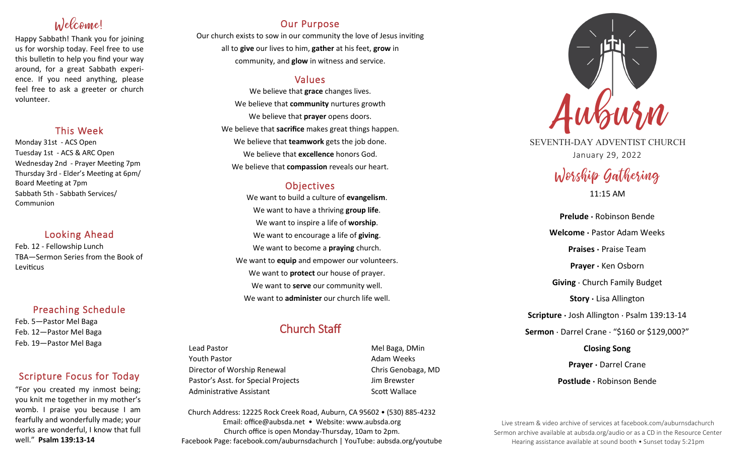# Welcome!

Happy Sabbath! Thank you for joining us for worship today. Feel free to use this bulletin to help you find your way around, for a great Sabbath experience. If you need anything, please feel free to ask a greeter or church volunteer.

## This Week

Monday 31st - ACS Open Tuesday 1st - ACS & ARC Open Wednesday 2nd - Prayer Meeting 7pm Thursday 3rd - Elder's Meeting at 6pm/ Board Meeting at 7pm Sabbath 5th - Sabbath Services/ **Communion** 

## Looking Ahead

Feb. 12 - Fellowship Lunch TBA—Sermon Series from the Book of Leviticus

## Preaching Schedule

Feb. 5—Pastor Mel Baga Feb. 12—Pastor Mel Baga Feb. 19—Pastor Mel Baga

## Scripture Focus for Today

"For you created my inmost being; you knit me together in my mother's womb. I praise you because I am fearfully and wonderfully made; your works are wonderful, I know that full well." **Psalm 139:13-14**

## Our Purpose

Our church exists to sow in our community the love of Jesus inviting all to **give** our lives to him, **gather** at his feet, **grow** in community, and **glow** in witness and service.

## Values

We believe that **grace** changes lives. We believe that **community** nurtures growth We believe that **prayer** opens doors. We believe that **sacrifice** makes great things happen. We believe that **teamwork** gets the job done. We believe that **excellence** honors God. We believe that **compassion** reveals our heart.

## **Objectives**

We want to build a culture of **evangelism**. We want to have a thriving **group life**. We want to inspire a life of **worship**. We want to encourage a life of **giving**. We want to become a **praying** church. We want to **equip** and empower our volunteers. We want to **protect** our house of prayer. We want to **serve** our community well. We want to **administer** our church life well.

## Church Staff

Lead Pastor **Mel Baga, DMin** Youth Pastor **Adam Weeks Adam Weeks** Director of Worship Renewal Chris Genobaga, MD Pastor's Asst. for Special Projects Fig. 3.1 Jim Brewster Administrative Assistant National Controllery Scott Wallace

Church Address: 12225 Rock Creek Road, Auburn, CA 95602 • (530) 885-4232 Email: office@aubsda.net • Website: www.aubsda.org Church office is open Monday-Thursday, 10am to 2pm. Facebook Page: facebook.com/auburnsdachurch | YouTube: aubsda.org/youtube



SEVENTH-DAY ADVENTIST CHURCH January 29, 2022

# Worship Gathering

11:15 AM

**Prelude ·** Robinson Bende **Welcome ·** Pastor Adam Weeks **Praises ·** Praise Team **Prayer ·** Ken Osborn **Giving** · Church Family Budget **Story ·** Lisa Allington **Scripture ·** Josh Allington · Psalm 139:13-14 **Sermon** · Darrel Crane · "\$160 or \$129,000?" **Closing Song**

> **Prayer ·** Darrel Crane **Postlude ·** Robinson Bende

Live stream & video archive of services at facebook.com/auburnsdachurch Sermon archive available at aubsda.org/audio or as a CD in the Resource Center Hearing assistance available at sound booth • Sunset today 5:21pm